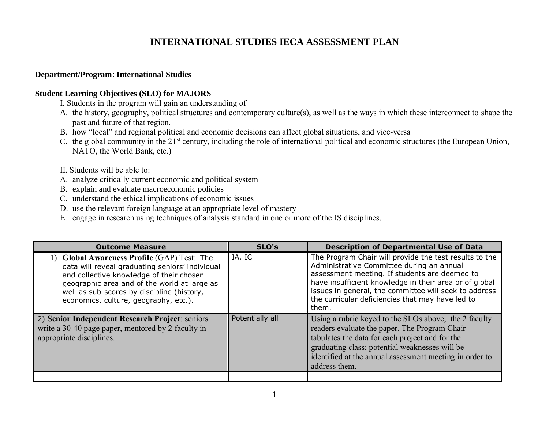## **INTERNATIONAL STUDIES IECA ASSESSMENT PLAN**

## **Department/Program**: **International Studies**

## **Student Learning Objectives (SLO) for MAJORS**

**I. Students in the program will gain an understanding of** 

- A. **the history, geography, political structures and contemporary culture(s), as well as the ways in which these interconnect to shape the past and future of that region.**
- B. **how "local" and regional political and economic decisions can affect global situations, and vice-versa**
- C. **the global community in the 21st century, including the role of international political and economic structures (the European Union, NATO, the World Bank, etc.)**
- **II. Students will be able to:**
- **A. analyze critically current economic and political system**
- **B.** explain and evaluate macroeconomic policies
- **C. understand the ethical implications of economic issues**
- **D. use the relevant foreign language at an appropriate level of mastery**
- **E. engage in research using techniques of analysis standard in one or more of the IS disciplines.**

| <b>Outcome Measure</b>                                                                                                                                                                                                                                                            | SLO's           | <b>Description of Departmental Use of Data</b>                                                                                                                                                                                                                                                                                       |
|-----------------------------------------------------------------------------------------------------------------------------------------------------------------------------------------------------------------------------------------------------------------------------------|-----------------|--------------------------------------------------------------------------------------------------------------------------------------------------------------------------------------------------------------------------------------------------------------------------------------------------------------------------------------|
| 1) Global Awareness Profile (GAP) Test: The<br>data will reveal graduating seniors' individual<br>and collective knowledge of their chosen<br>geographic area and of the world at large as<br>well as sub-scores by discipline (history,<br>economics, culture, geography, etc.). | IA, IC          | The Program Chair will provide the test results to the<br>Administrative Committee during an annual<br>assessment meeting. If students are deemed to<br>have insufficient knowledge in their area or of global<br>issues in general, the committee will seek to address<br>the curricular deficiencies that may have led to<br>them. |
| 2) Senior Independent Research Project: seniors<br>write a 30-40 page paper, mentored by 2 faculty in<br>appropriate disciplines.                                                                                                                                                 | Potentially all | Using a rubric keyed to the SLOs above, the 2 faculty<br>readers evaluate the paper. The Program Chair<br>tabulates the data for each project and for the<br>graduating class; potential weaknesses will be<br>identified at the annual assessment meeting in order to<br>address them.                                              |
|                                                                                                                                                                                                                                                                                   |                 |                                                                                                                                                                                                                                                                                                                                      |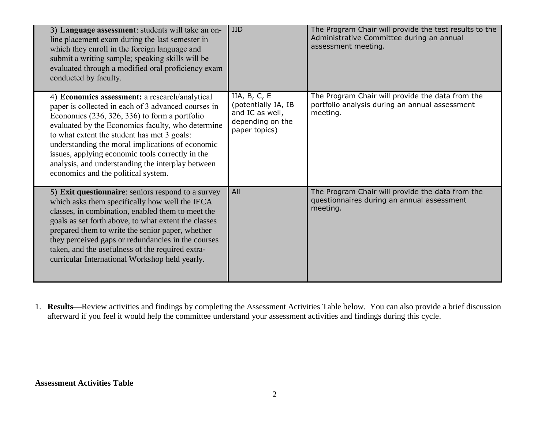| 3) Language assessment: students will take an on-<br>line placement exam during the last semester in<br>which they enroll in the foreign language and<br>submit a writing sample; speaking skills will be<br>evaluated through a modified oral proficiency exam<br>conducted by faculty.                                                                                                                                                                         | <b>IID</b>                                                                                    | The Program Chair will provide the test results to the<br>Administrative Committee during an annual<br>assessment meeting. |
|------------------------------------------------------------------------------------------------------------------------------------------------------------------------------------------------------------------------------------------------------------------------------------------------------------------------------------------------------------------------------------------------------------------------------------------------------------------|-----------------------------------------------------------------------------------------------|----------------------------------------------------------------------------------------------------------------------------|
| 4) Economics assessment: a research/analytical<br>paper is collected in each of 3 advanced courses in<br>Economics $(236, 326, 336)$ to form a portfolio<br>evaluated by the Economics faculty, who determine<br>to what extent the student has met 3 goals:<br>understanding the moral implications of economic<br>issues, applying economic tools correctly in the<br>analysis, and understanding the interplay between<br>economics and the political system. | IIA, $B, C, E$<br>(potentially IA, IB<br>and IC as well,<br>depending on the<br>paper topics) | The Program Chair will provide the data from the<br>portfolio analysis during an annual assessment<br>meeting.             |
| 5) Exit questionnaire: seniors respond to a survey<br>which asks them specifically how well the IECA<br>classes, in combination, enabled them to meet the<br>goals as set forth above, to what extent the classes<br>prepared them to write the senior paper, whether<br>they perceived gaps or redundancies in the courses<br>taken, and the usefulness of the required extra-<br>curricular International Workshop held yearly.                                | All                                                                                           | The Program Chair will provide the data from the<br>questionnaires during an annual assessment<br>meeting.                 |

1. **Results—**Review activities and findings by completing the Assessment Activities Table below. You can also provide a brief discussion afterward if you feel it would help the committee understand your assessment activities and findings during this cycle.